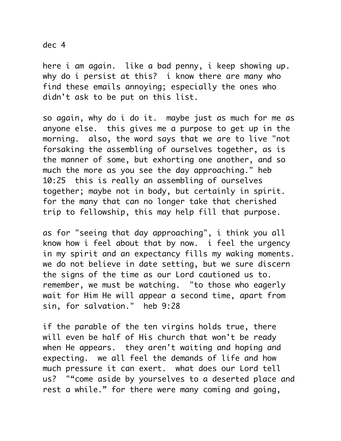## dec 4

here i am again. like a bad penny, i keep showing up. why do i persist at this? i know there are many who find these emails annoying; especially the ones who didn't ask to be put on this list.

so again, why do i do it. maybe just as much for me as anyone else. this gives me a purpose to get up in the morning. also, the word says that we are to live "not forsaking the assembling of ourselves together, as is the manner of some, but exhorting one another, and so much the more as you see the day approaching." heb 10:25 this is really an assembling of ourselves together; maybe not in body, but certainly in spirit. for the many that can no longer take that cherished trip to fellowship, this may help fill that purpose.

as for "seeing that day approaching", i think you all know how i feel about that by now. i feel the urgency in my spirit and an expectancy fills my waking moments. we do not believe in date setting, but we sure discern the signs of the time as our Lord cautioned us to. remember, we must be watching. "to those who eagerly wait for Him He will appear a second time, apart from sin, for salvation." heb 9:28

if the parable of the ten virgins holds true, there will even be half of His church that won't be ready when He appears. they aren't waiting and hoping and expecting. we all feel the demands of life and how much pressure it can exert. what does our Lord tell us? ""come aside by yourselves to a deserted place and rest a while." for there were many coming and going,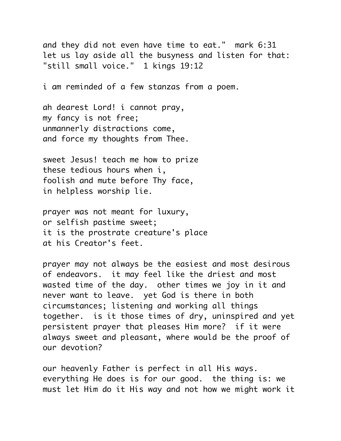and they did not even have time to eat." mark 6:31 let us lay aside all the busyness and listen for that: "still small voice." 1 kings 19:12

i am reminded of a few stanzas from a poem.

ah dearest Lord! i cannot pray, my fancy is not free; unmannerly distractions come, and force my thoughts from Thee.

sweet Jesus! teach me how to prize these tedious hours when i, foolish and mute before Thy face, in helpless worship lie.

prayer was not meant for luxury, or selfish pastime sweet; it is the prostrate creature's place at his Creator's feet.

prayer may not always be the easiest and most desirous of endeavors. it may feel like the driest and most wasted time of the day. other times we joy in it and never want to leave. yet God is there in both circumstances; listening and working all things together. is it those times of dry, uninspired and yet persistent prayer that pleases Him more? if it were always sweet and pleasant, where would be the proof of our devotion?

our heavenly Father is perfect in all His ways. everything He does is for our good. the thing is: we must let Him do it His way and not how we might work it